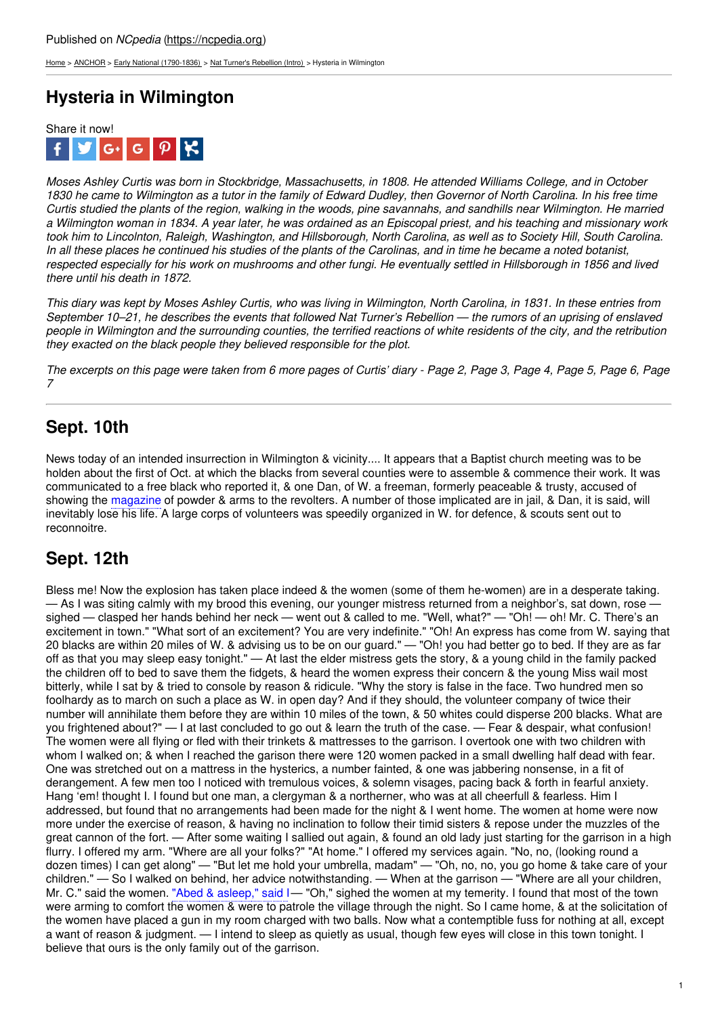[Home](https://ncpedia.org/) > [ANCHOR](https://ncpedia.org/anchor/anchor) > Early National [\(1790-1836\)](https://ncpedia.org/anchor/early-national-1790-1836) > Nat Turner's [Rebellion](https://ncpedia.org/anchor/nat-turners-rebellion-intro) (Intro) > Hysteria in Wilmington

# **Hysteria in Wilmington**



Moses Ashley Curtis was born in Stockbridge, Massachusetts, in 1808. He attended Williams College, and in October 1830 he came to Wilmington as a tutor in the family of Edward Dudley, then Governor of North Carolina. In his free time Curtis studied the plants of the region, walking in the woods, pine savannahs, and sandhills near Wilmington. He married a Wilmington woman in 1834. A year later, he was ordained as an Episcopal priest, and his teaching and missionary work took him to Lincolnton, Raleigh, Washington, and Hillsborough, North Carolina, as well as to Society Hill, South Carolina. In all these places he continued his studies of the plants of the Carolinas, and in time he became a noted botanist. respected especially for his work on mushrooms and other fungi. He eventually settled in Hillsborough in 1856 and lived *there until his death in 1872.*

This diary was kept by Moses Ashley Curtis, who was living in Wilmington, North Carolina, in 1831. In these entries from September 10–21, he describes the events that [followed](http://www.social9.com) Nat Turner's Rebellion — the rumors of an uprising of enslaved people in Wilmington and the surrounding counties, the terrified reactions of white residents of the city, and the retribution *they exacted on the black people they believed responsible for the plot.*

The excerpts on this page were taken from 6 more pages of Curtis' diary - Page 2, Page 3, Page 4, Page 5, Page 6, Page *7*

## **Sept. 10th**

News today of an intended insurrection in Wilmington & vicinity.... It appears that a Baptist church meeting was to be holden about the first of Oct. at which the blacks from several counties were to assemble & commence their work. It was communicated to a free black who reported it, & one Dan, of W. a freeman, formerly peaceable & trusty, accused of showing the magazine of powder & arms to the revolters. A number of those implicated are in jail, & Dan, it is said, will inevitably lose his life. A large corps of volunteers was speedily organized in W. for defence, & scouts sent out to reconnoitre.

### **Sept. 12th**

Bless me! Now the explosion has taken place indeed & the women (some of them he-women) are in a desperate taking. — As I was siting calmly with my brood this evening, our younger mistress returned from a neighbor's, sat down, rose sighed — clasped her hands behind her neck — went out & called to me. "Well, what?" — "Oh! — oh! Mr. C. There's an excitement in town." "What sort of an excitement? You are very indefinite." "Oh! An express has come from W. saying that 20 blacks are within 20 miles of W. & advising us to be on our guard." — "Oh! you had better go to bed. If they are as far off as that you may sleep easy tonight." — At last the elder mistress gets the story, & a young child in the family packed the children off to bed to save them the fidgets, & heard the women express their concern & the young Miss wail most bitterly, while I sat by & tried to console by reason & ridicule. "Why the story is false in the face. Two hundred men so foolhardy as to march on such a place as W. in open day? And if they should, the volunteer company of twice their number will annihilate them before they are within 10 miles of the town, & 50 whites could disperse 200 blacks. What are you frightened about?" — I at last concluded to go out & learn the truth of the case. — Fear & despair, what confusion! The women were all flying or fled with their trinkets & mattresses to the garrison. I overtook one with two children with whom I walked on; & when I reached the garison there were 120 women packed in a small dwelling half dead with fear. One was stretched out on a mattress in the hysterics, a number fainted, & one was jabbering nonsense, in a fit of derangement. A few men too I noticed with tremulous voices, & solemn visages, pacing back & forth in fearful anxiety. Hang 'em! thought I. I found but one man, a clergyman & a northerner, who was at all cheerfull & fearless. Him I addressed, but found that no arrangements had been made for the night & I went home. The women at home were now more under the exercise of reason, & having no inclination to follow their timid sisters & repose under the muzzles of the great cannon of the fort. — After some waiting I sallied out again, & found an old lady just starting for the garrison in a high flurry. I offered my arm. "Where are all your folks?" "At home." I offered my services again. "No, no, (looking round a dozen times) I can get along" — "But let me hold your umbrella, madam" — "Oh, no, no, you go home & take care of your children." — So I walked on behind, her advice notwithstanding. — When at the garrison — "Where are all your children, Mr. C." said the women. "Abed & asleep," said I— "Oh," sighed the women at my temerity. I found that most of the town were arming to comfort the women & were to patrole the village through the night. So I came home, & at the solicitation of the women have placed a gun in my room charged with two balls. Now what a contemptible fuss for nothing at all, except a want of reason & judgment. — I intend to sleep as quietly as usual, though few eyes will close in this town tonight. I believe that ours is the only family out of the garrison.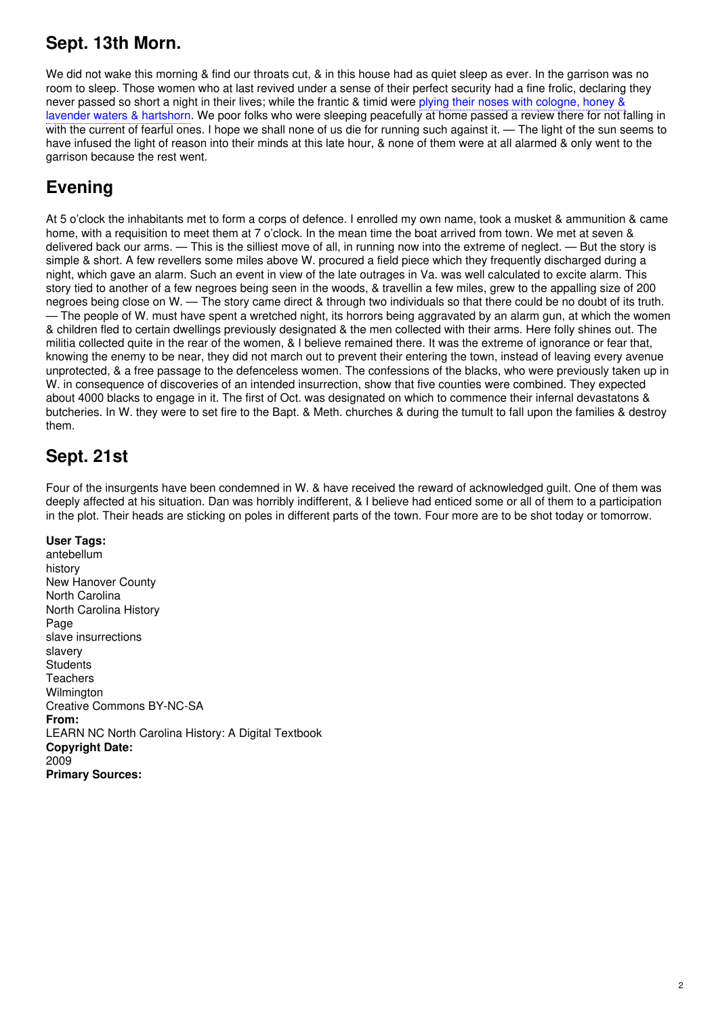#### **Sept. 13th Morn.**

We did not wake this morning & find our throats cut. & in this house had as quiet sleep as ever. In the garrison was no room to sleep. Those women who at last revived under a sense of their perfect security had a fine frolic, declaring they never passed so short a night in their lives; while the frantic & timid were plying their noses with cologne, honey & lavender waters & hartshorn. We poor folks who were sleeping peacefully at home passed a review there for not falling in with the current of fearful ones. I hope we shall none of us die for running such against it. — The light of the sun seems to have infused the light of reason into their minds at this late hour, & none of them were at all alarmed & only went to the garrison because the rest went.

#### **Evening**

At 5 o'clock the inhabitants met to form a corps of defence. I enrolled my own name, took a musket & ammunition & came home, with a requisition to meet them at 7 o'clock. In the mean time the boat arrived from town. We met at seven & delivered back our arms. — This is the silliest move of all, in running now into the extreme of neglect. — But the story is simple & short. A few revellers some miles above W. procured a field piece which they frequently discharged during a night, which gave an alarm. Such an event in view of the late outrages in Va. was well calculated to excite alarm. This story tied to another of a few negroes being seen in the woods, & travellin a few miles, grew to the appalling size of 200 negroes being close on W. — The story came direct & through two individuals so that there could be no doubt of its truth. — The people of W. must have spent a wretched night, its horrors being aggravated by an alarm gun, at which the women & children fled to certain dwellings previously designated & the men collected with their arms. Here folly shines out. The militia collected quite in the rear of the women, & I believe remained there. It was the extreme of ignorance or fear that, knowing the enemy to be near, they did not march out to prevent their entering the town, instead of leaving every avenue unprotected, & a free passage to the defenceless women. The confessions of the blacks, who were previously taken up in W. in consequence of discoveries of an intended insurrection, show that five counties were combined. They expected about 4000 blacks to engage in it. The first of Oct. was designated on which to commence their infernal devastatons & butcheries. In W. they were to set fire to the Bapt. & Meth. churches & during the tumult to fall upon the families & destroy them.

#### **Sept. 21st**

Four of the insurgents have been condemned in W. & have received the reward of acknowledged guilt. One of them was deeply affected at his situation. Dan was horribly indifferent, & I believe had enticed some or all of them to a participation in the plot. Their heads are sticking on poles in different parts of the town. Four more are to be shot today or tomorrow.

#### **User Tags:**

antebellum history New Hanover County North Carolina North Carolina History Page slave insurrections slavery **Students** Teachers Wilmington Creative Commons BY-NC-SA **From:** LEARN NC North Carolina History: A Digital Textbook **Copyright Date:** 2009 **Primary Sources:**